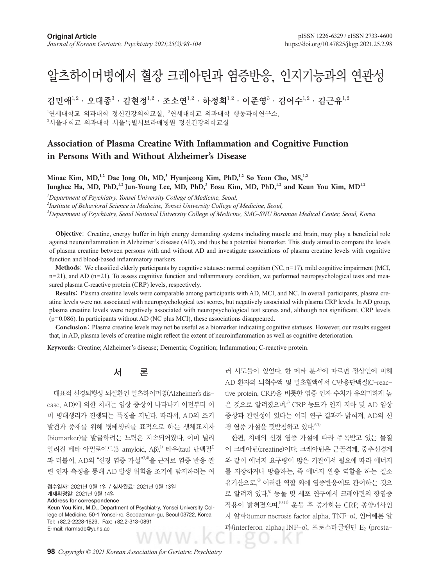# 알츠하이머병에서 혈장 크레아틴과 염증반응, 인지기능과의 연관성

김민애 $^{1,2}\cdot$  오대종 $^3\cdot$  김현정 $^{1,2}\cdot$  조소연 $^{1,2}\cdot$  하정희 $^{1,2}\cdot$  이준영 $^3\cdot$  김어수 $^{1,2}\cdot$  김근유 $^{1,2}$ 

 $^1$ 연세대학교 의과대학 정신건강의학교실,  $^2$ 연세대학교 의과대학 행동과학연구소, 3 서울대학교 의과대학 서울특별시보라매병원 정신건강의학교실

# **Association of Plasma Creatine With Inflammation and Cognitive Function in Persons With and Without Alzheimer's Disease**

Minae Kim, MD,<sup>1,2</sup> Dae Jong Oh, MD,<sup>3</sup> Hyunjeong Kim, PhD,<sup>1,2</sup> So Yeon Cho, MS,<sup>1,2</sup> Junghee Ha, MD, PhD,<sup>1,2</sup> Jun-Young Lee, MD, PhD,<sup>3</sup> Eosu Kim, MD, PhD,<sup>1,2</sup> and Keun You Kim, MD<sup>1,2</sup>

*1 Department of Psychiatry, Yonsei University College of Medicine, Seoul,*

*2 Institute of Behavioral Science in Medicine, Yonsei University College of Medicine, Seoul,*

*3 Department of Psychiatry, Seoul National University College of Medicine, SMG-SNU Boramae Medical Center, Seoul, Korea*

**Objective**: Creatine, energy buffer in high energy demanding systems including muscle and brain, may play a beneficial role against neuroinflammation in Alzheimer's disease (AD), and thus be a potential biomarker. This study aimed to compare the levels of plasma creatine between persons with and without AD and investigate associations of plasma creatine levels with cognitive function and blood-based inflammatory markers.

**Methods**: We classified elderly participants by cognitive statuses: normal cognition (NC, n=17), mild cognitive impairment (MCI,  $n=21$ ), and AD ( $n=21$ ). To assess cognitive function and inflammatory condition, we performed neuropsychological tests and measured plasma C-reactive protein (CRP) levels, respectively.

**Results**: Plasma creatine levels were comparable among participants with AD, MCI, and NC. In overall participants, plasma creatine levels were not associated with neuropsychological test scores, but negatively associated with plasma CRP levels. In AD group, plasma creatine levels were negatively associated with neuropsychological test scores and, although not significant, CRP levels (p=0.086). In participants without AD (NC plus MCI), these associations disappeared.

**Conclusion**: Plasma creatine levels may not be useful as a biomarker indicating cognitive statuses. However, our results suggest that, in AD, plasma levels of creatine might reflect the extent of neuroinflammation as well as cognitive deterioration.

**Keywords:** Creatine; Alzheimer's disease; Dementia; Cognition; Inflammation; C-reactive protein.

# 서 론

대표적 신경퇴행성 뇌질환인 알츠하이머병(Alzheimer's disease, AD)에 의한 치매는 임상 증상이 나타나기 이전부터 이 미 병태생리가 진행되는 특징을 지닌다. 따라서, AD의 조기 발견과 중재를 위해 병태생리를 표적으로 하는 생체표지자 (biomarker)를 발굴하려는 노력은 지속되어왔다. 이미 널리 알려진 베타 아밀로이드(β-amyloid, Αβ),<sup>1)</sup> 타우(tau) 단백질<sup>2)</sup> 과 더불어, AD의 "신경 염증 가설"3,4)을 근거로 염증 반응 관 련 인자 측정을 통해 AD 발생 위험을 조기에 탐지하려는 여

```
접수일자: 2021년 9월 1일 / 심사완료: 2021년 9월 13일
게재확정일: 2021년 9월 14일
Address for correspondence
Keun You Kim, M.D., Department of Psychiatry, Yonsei University Col-
lege of Medicine, 50-1 Yonsei-ro, Seodaemun-gu, Seoul 03722, Korea
Tel: +82.2-2228-1629, Fax: +82.2-313-0891
E-mail: rlarmsdb@yuhs.ac
```
러 시도들이 있었다. 한 메타 분석에 따르면 정상인에 비해 AD 환자의 뇌척수액 및 말초혈액에서 C반응단백질(C-reactive protein, CRP)을 비롯한 염증 인자 수치가 유의미하게 높 은 것으로 알려졌으며, 5) CRP 농도가 인지 저하 및 AD 임상 증상과 관련성이 있다는 여러 연구 결과가 밝혀져, AD의 신 경 염증 가설을 뒷받침하고 있다. 6,7)

한편, 치매의 신경 염증 가설에 따라 주목받고 있는 물질 이 크레아틴(creatine)이다. 크레아틴은 근골격계, 중추신경계 와 같이 에너지 요구량이 많은 기관에서 필요에 따라 에너지 를 저장하거나 방출하는, 즉 에너지 완충 역할을 하는 질소 유기산으로, 8) 이러한 역할 외에 염증반응에도 관여하는 것으 로 알려져 있다.<sup>9</sup> 동물 및 세포 연구에서 크레아틴의 항염증 작용이 밝혀졌으며, 10,11) 운동 후 증가하는 CRP, 종양괴사인 자 알파(tumor necrosis factor alpha, TNF-α), 인터페론 알 파(interferon alpha, INF-α), 프로스타글랜딘 E<sub>2</sub> (prosta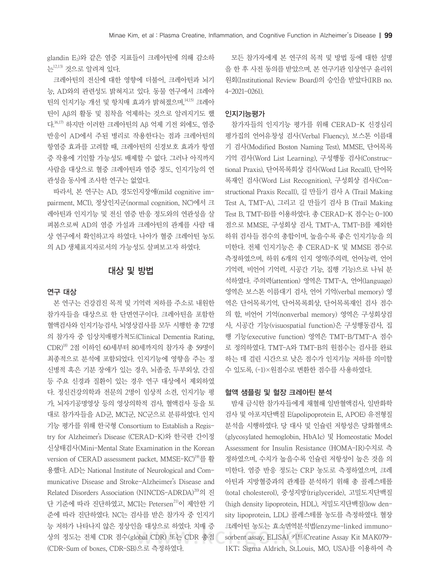glandin E2)와 같은 염증 지표들이 크레아틴에 의해 감소하 는12,13) 것으로 알려져 있다.

크레아틴의 전신에 대한 영향에 더불어, 크레아틴과 뇌기 능, AD와의 관련성도 밝혀지고 있다. 동물 연구에서 크레아 틴의 인지기능 개선 및 항치매 효과가 밝혀졌으며, 14,15) 크레아 틴이 Aβ의 활동 및 침착을 억제하는 것으로 알려지기도 했 다. 16,17) 하지만 이러한 크레아틴의 Aβ 억제 기전 외에도, 염증 반응이 AD에서 주된 병리로 작용한다는 점과 크레아틴의 항염증 효과를 고려할 때, 크레아틴의 신경보호 효과가 항염 증 작용에 기인할 가능성도 배제할 수 없다. 그러나 아직까지 사람을 대상으로 혈중 크레아틴과 염증 정도, 인지기능의 연 관성을 동시에 조사한 연구는 없었다.

따라서, 본 연구는 AD, 경도인지장애(mild cognitive impairment, MCI), 정상인지군(normal cognition, NC)에서 크 레아틴과 인지기능 및 전신 염증 반응 정도와의 연관성을 살 펴봄으로써 AD의 염증 가설과 크레아틴의 관계를 사람 대 상 연구에서 확인하고자 하였다. 나아가 혈중 크레아틴 농도 의 AD 생체표지자로서의 가능성도 살펴보고자 하였다.

## 대상 및 방법

#### 연구 대상

본 연구는 건강검진 목적 및 기억력 저하를 주소로 내원한 참가자들을 대상으로 한 단면연구이다. 크레아틴을 포함한 혈액검사와 인지기능검사, 뇌영상검사를 모두 시행한 총 72명 의 참가자 중 임상치매평가척도(Clinical Dementia Rating, CDR)18) 2점 이하인 60세부터 80세까지의 참가자 총 59명이 최종적으로 분석에 포함되었다. 인지기능에 영향을 주는 정 신병적 혹은 기분 장애가 있는 경우, 뇌졸중, 두부외상, 간질 등 주요 신경과 질환이 있는 경우 연구 대상에서 제외하였 다. 정신건강의학과 전문의 2명이 임상적 소견, 인지기능 평 가, 뇌자기공명영상 등의 영상의학적 검사, 혈액검사 등을 토 대로 참가자들을 AD군, MCI군, NC군으로 분류하였다. 인지 기능 평가를 위해 한국형 Consortium to Establish a Registry for Alzheimer's Disease (CERAD-K)와 한국판 간이정 신상태검사(Mini-Mental State Examination in the Korean version of CERAD assessment packet, MMSE-KC)<sup>19)</sup>를 활 용했다. AD는 National Institute of Neurological and Communicative Disease and Stroke-Alzheimer's Disease and Related Disorders Association (NINCDS-ADRDA)20)의 진 단 기준에 따라 진단하였고, MCI는 Petersen<sup>21)</sup>이 제안한 기 준에 따라 진단하였다. NC는 검사를 받은 참가자 중 인지기 능 저하가 나타나지 않은 정상인을 대상으로 하였다. 치매 증 상의 정도는 전체 CDR 점수(global CDR) 또는 CDR 총점 (CDR-Sum of boxes, CDR-SB)으로 측정하였다.

모든 참가자에게 본 연구의 목적 및 방법 등에 대한 설명 을 한 후 사전 동의를 받았으며, 본 연구기관 임상연구 윤리위 원회(Institutional Review Board)의 승인을 받았다(IRB no. 4-2021-0261).

#### 인지기능평가

참가자들의 인지기능 평가를 위해 CERAD-K 신경심리 평가집의 언어유창성 검사(Verbal Fluency), 보스톤 이름대 기 검사(Modified Boston Naming Test), MMSE, 단어목록 기억 검사(Word List Learning), 구성행동 검사(Constructional Praxis), 단어목록회상 검사(Word List Recall), 단어목 록재인 검사(Word List Recognition), 구성회상 검사(Constructional Praxis Recall), 길 만들기 검사 A (Trail Making Test A, TMT-A), 그리고 길 만들기 검사 B (Trail Making Test B, TMT-B)를 이용하였다. 총 CERAD-K 점수는 0-100 점으로 MMSE, 구성회상 검사, TMT-A, TMT-B를 제외한 하위 검사들 점수의 총합이며, 높을수록 좋은 인지기능을 의 미한다. 전체 인지기능은 총 CERAD-K 및 MMSE 점수로 측정하였으며, 하위 6개의 인지 영역(주의력, 언어능력, 언어 기억력, 비언어 기억력, 시공간 기능, 집행 기능)으로 나눠 분 석하였다. 주의력(attention) 영역은 TMT-A, 언어(language) 영역은 보스톤 이름대기 검사, 언어 기억(verbal memory) 영 역은 단어목록기억, 단어목록회상, 단어목록재인 검사 점수 의 합, 비언어 기억(nonverbal memory) 영역은 구성회상검 사, 시공간 기능(visuospatial function)은 구성행동검사, 집 행 기능(executive function) 영역은 TMT-B/TMT-A 점수 로 정의하였다. TMT-A와 TMT-B의 원점수는 검사를 완료 하는 데 걸린 시간으로 낮은 점수가 인지기능 저하를 의미할 수 있도록, (-1)×원점수로 변환한 점수를 사용하였다.

#### 혈액 샘플링 및 혈장 크레아틴 분석

밤새 금식한 참가자들에게 채혈해 일반혈액검사, 일반화학 검사 및 아포지단백질 E(apolipoprotein E, APOE) 유전형질 분석을 시행하였다. 당 대사 및 인슐린 저항성은 당화혈색소 (glycosylated hemoglobin, HbA1c) 및 Homeostatic Model Assessment for Insulin Resistance (HOMA-IR)수치로 측 정하였으며, 수치가 높을수록 인슐린 저항성이 높은 것을 의 미한다. 염증 반응 정도는 CRP 농도로 측정하였으며, 크레 아틴과 지방혈증과의 관계를 분석하기 위해 총 콜레스테롤 (total cholesterol), 중성지방(triglyceride), 고밀도지단백질 (high density lipoprotein, HDL), 저밀도지단백질(low density lipoprotein, LDL) 콜레스테롤 농도를 측정하였다. 혈장 크레아틴 농도는 효소면역분석법(enzyme-linked immunosorbent assay, ELISA) 키트(Creatine Assay Kit MAK079- 1KT; Sigma Aldrich, St.Louis, MO, USA)를 이용하여 측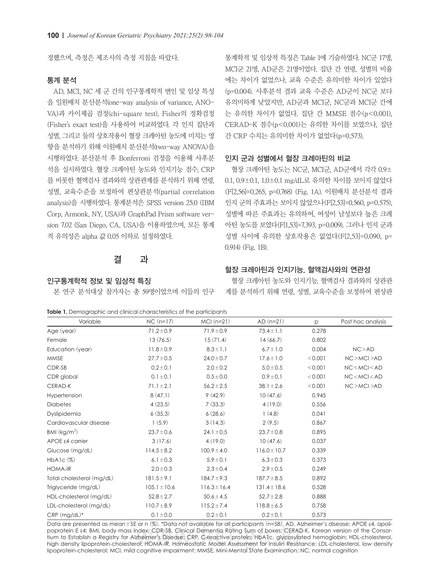정했으며, 측정은 제조사의 측정 지침을 따랐다.

#### 통계 분석

AD, MCI, NC 세 군 간의 인구통계학적 변인 및 임상 특성 을 일원배치 분산분석(one-way analysis of variance, ANO-VA)과 카이제곱 검정(chi-square test), Fisher의 정확검정 (Fisher's exact test)을 사용하여 비교하였다. 각 인지 집단과 성별, 그리고 둘의 상호작용이 혈장 크레아틴 농도에 미치는 영 향을 분석하기 위해 이원배치 분산분석(two-way ANOVA)을 시행하였다. 분산분석 후 Bonferroni 검정을 이용해 사후분 석을 실시하였다. 혈장 크레아틴 농도와 인지기능 점수, CRP 를 비롯한 혈액검사 결과와의 상관관계를 분석하기 위해 연령, 성별, 교육수준을 보정하여 편상관분석(partial correlation analysis)을 시행하였다. 통계분석은 SPSS version 25.0 (IBM Corp, Armonk, NY, USA)과 GraphPad Prism software version 7.02 (San Diego, CA, USA)을 이용하였으며, 모든 통계 적 유의성은 alpha 값 0.05 이하로 설정하였다.

# 결 과

#### 인구통계학적 정보 및 임상적 특징

본 연구 분석대상 참가자는 총 59명이었으며 이들의 인구

| 통계학적 및 임상적 특징은 Table 1에 기술하였다. NC군 17명, |
|-----------------------------------------|
| MCI군 21명, AD군은 21명이었다. 집단 간 연령, 성별의 비율  |
| 에는 차이가 없었으나, 교육 수준은 유의미한 차이가 있었다        |
| (p=0.004). 사후분석 결과 교육 수준은 AD군이 NC군 보다   |
| 유의미하게 낮았지만, AD군과 MCI군, NC군과 MCI군 간에     |
| 는 유의한 차이가 없었다. 집단 간 MMSE 점수(p<0.001),   |
| CERAD-K 점수(p<0.001)는 유의한 차이를 보였으나, 집단   |
| 간 CRP 수치는 유의미한 차이가 없었다(p=0.573).        |
|                                         |

#### 인지 군과 성별에서 혈장 크레아틴의 비교

혈장 크레아틴 농도는 NC군, MCI군, AD군에서 각각 0.9± 0.1, 0.9±0.1, 1.0±0.1 mg/dL로 유의한 차이를 보이지 않았다 (F[2,56]=0.265, p=0.768) (Fig. 1A). 이원배치 분산분석 결과 인지 군의 주효과는 보이지 않았으나(F[2,53]=0.560, p=0.575), 성별에 따른 주효과는 유의하여, 여성이 남성보다 높은 크레 아틴 농도를 보였다(F[1,53]=7.393, p=0.009). 그러나 인지 군과 성별 사이에 유의한 상호작용은 없었다(F[2,53]=0.090, p= 0.914) (Fig. 1B).

#### 혈장 크레아틴과 인지기능, 혈액검사와의 연관성

혈장 크레아틴 농도와 인지기능, 혈액검사 결과와의 상관관 계를 분석하기 위해 연령, 성별, 교육수준을 보정하여 편상관

|  | <b>Table 1.</b> Demographic and clinical characteristics of the participants |  |  |  |  |  |
|--|------------------------------------------------------------------------------|--|--|--|--|--|
|--|------------------------------------------------------------------------------|--|--|--|--|--|

Variable  $NC(n=17)$   $MC1(n=21)$   $AD(n=21)$  p Post hoc analysis Age (year) 71.2±0.9 71.9±0.9 73.4±1.1 0.278 Female 13 (76.5) 15 (71.4) 14 (66.7) 16.802 Education (year) 11.8±0.9 8.3±1.1 6.7±1.0 0.004 NC>AD MMSE 27.7±0.5 24.0±0.7 17.6±1.0 <0.001 NC>MCI>AD CDR-SB 0.2±0.1 2.0±0.2 5.0±0.5 <0.001 NC<MCI<AD CDR global 0.1±0.1 0.5±0.0 0.9±0.1 <0.001 NC<MCI<AD CERAD-K 71.1±2.1 56.2±2.5 38.1±2.6 <0.001 NC>MCI>AD Hypertension 8 (47.1) 9 (42.9) 10 (47.6) 0.945 Diabetes 4 (23.5) 7 (33.3) 4 (19.0) 0.556 Dyslipidemia 6 (35.3) 6 (28.6) 1 (4.8) 0.041 Cardiovascular disease 1 (5.9) 3 (14.3) 2 (9.5) 0.867 BMI  $(kq/m^2)$ ) 23.7 $\pm$ 0.6 24.1 $\pm$ 0.5 23.7 $\pm$ 0.8 0.895 APOE ε4 carrier 3 (17.6) 4 (19.0) 10 (47.6) 0.037 Glucose (mg/dL)  $114.5\pm8.2$   $100.9\pm4.0$   $116.0\pm10.7$  0.339  $HbA1c$  (%) 6.1±0.3 6.1±0.3 5.9±0.1 6.3±0.3 6.3±0.3 6.373  $HOMA-IR$  2.0 $\pm 0.3$  2.3 $\pm 0.4$  2.9 $\pm 0.5$  0.249 Total cholesterol (mg/dL) 181.5±9.1 184.7±9.3 187.7±8.5 0.892 Triglyceride (mg/dL) 105.1±10.6 116.3±16.4 131.4±18.6 0.528 HDL-cholesterol (mg/dL) 52.8±2.7 50.6±4.5 52.7±2.8 0.888 LDL-cholesterol (mg/dL) 110.7±8.9 115.2±7.4 118.8±6.5 0.758  $CRP (mg/dL)*$  0.1±0.0 0.2±0.1 0.2±0.1 0.573

Data are presented as mean±SE or n (%). \*Data not available for all participants (n=58). AD, Alzheimer's disease; APOE ε4, apolipoprotein E ε4; BMI, body mass index; CDR-SB, Clinical Dementia Rating Sum of boxes; CERAD-K, Korean version of the Consortium to Establish a Registry for Alzheimer's Disease; CRP, C-reactive protein; HbA1c, glycosylated hemoglobin; HDL-cholesterol, high density lipoprotein-cholesterol; HOMA-IR, Homeostatic Model Assessment for Insulin Resistance; LDL-cholesterol, low density lipoprotein-cholesterol; MCI, mild cognitive impairment; MMSE, Mini-Mental State Examination; NC, normal cognition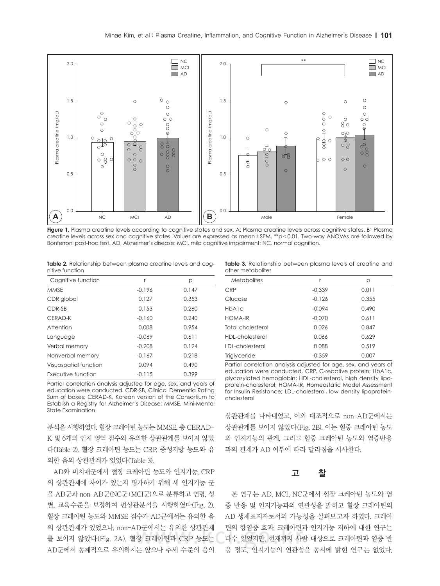

**Figure 1.** Plasma creatine levels according to cognitive states and sex. A: Plasma creatine levels across cognitive states. B: Plasma creatine levels across sex and cognitive states. Values are expressed as mean±SEM. \*\*p<0.01. Two-way ANOVAs are followed by Bonferroni post-hoc test. AD, Alzheimer's disease; MCI, mild cognitive impairment; NC, normal cognition.

**Table 2.** Relationship between plasma creatine levels and cognitive function

| Cognitive function    | r        | р     |
|-----------------------|----------|-------|
| <b>MMSE</b>           | $-0.196$ | 0.147 |
| CDR global            | 0.127    | 0.353 |
| CDR-SB                | 0.153    | 0.260 |
| CERAD-K               | $-0.160$ | 0.240 |
| Attention             | 0.008    | 0.954 |
| Language              | $-0.069$ | 0.611 |
| Verbal memory         | $-0.208$ | 0.124 |
| Nonverbal memory      | $-0.167$ | 0.218 |
| Visuospatial function | 0.094    | 0.490 |
| Executive function    | $-0.115$ | 0.399 |

Partial correlation analysis adjusted for age, sex, and years of education were conducted. CDR-SB, Clinical Dementia Rating Sum of boxes; CERAD-K, Korean version of the Consortium to Establish a Registry for Alzheimer's Disease; MMSE, Mini-Mental State Examination

분석을 시행하였다. 혈장 크레아틴 농도는 MMSE, 총 CERAD-K 및 6개의 인지 영역 점수와 유의한 상관관계를 보이지 않았 다(Table 2). 혈장 크레아틴 농도는 CRP, 중성지방 농도와 유 의한 음의 상관관계가 있었다(Table 3).

AD와 비치매군에서 혈장 크레아틴 농도와 인지기능, CRP 의 상관관계에 차이가 있는지 평가하기 위해 세 인지기능 군 을 AD군과 non-AD군(NC군+MCI군)으로 분류하고 연령, 성 별, 교육수준을 보정하여 편상관분석을 시행하였다(Fig. 2). 혈장 크레아틴 농도와 MMSE 점수가 AD군에서는 유의한 음 의 상관관계가 있었으나, non-AD군에서는 유의한 상관관계 를 보이지 않았다(Fig. 2A). 혈장 크레아틴과 CRP 농도는 AD군에서 통계적으로 유의하지는 않으나 추세 수준의 음의

**Table 3.** Relationship between plasma levels of creatine and other metabolites

| r        | р     |
|----------|-------|
| $-0.339$ | 0.011 |
| $-0.126$ | 0.355 |
| $-0.094$ | 0.490 |
| $-0.070$ | 0.611 |
| 0.026    | 0.847 |
| 0.066    | 0.629 |
| 0.088    | 0.519 |
| $-0.359$ | 0.007 |
|          |       |

Partial correlation analysis adjusted for age, sex, and years of education were conducted. CRP, C-reactive protein; HbA1c, glycosylated hemoglobin; HDL-cholesterol, high density lipoprotein-cholesterol; HOMA-IR, Homeostatic Model Assessment for Insulin Resistance; LDL-cholesterol, low density lipoproteincholesterol

상관관계를 나타내었고, 이와 대조적으로 non-AD군에서는 상관관계를 보이지 않았다(Fig. 2B). 이는 혈중 크레아틴 농도 와 인지기능의 관계, 그리고 혈중 크레아틴 농도와 염증반응 과의 관계가 AD 여부에 따라 달라짐을 시사한다.

### 고 찰

본 연구는 AD, MCI, NC군에서 혈장 크레아틴 농도와 염 증 반응 및 인지기능과의 연관성을 밝히고 혈장 크레아틴의 AD 생체표지자로서의 가능성을 살펴보고자 하였다. 크레아 틴의 항염증 효과, 크레아틴과 인지기능 저하에 대한 연구는 다수 있었지만, 현재까지 사람 대상으로 크레아틴과 염증 반 응 정도, 인지기능의 연관성을 동시에 밝힌 연구는 없었다.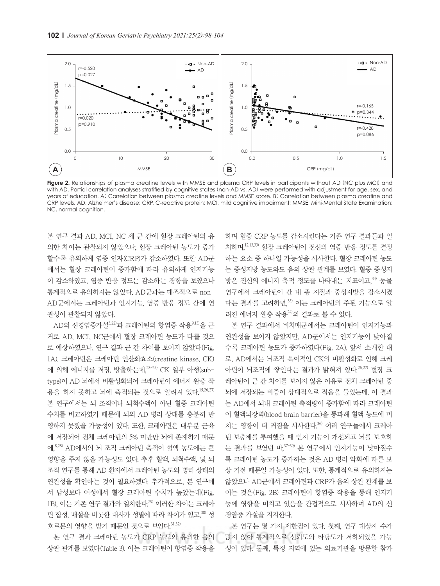

**Figure 2.** Relationships of plasma creatine levels with MMSE and plasma CRP levels in participants without AD (NC plus MCI) and with AD. Partial correlation analyses stratified by cognitive states (non-AD vs. AD) were performed with adjustment for age, sex, and years of education. A: Correlation between plasma creatine levels and MMSE score. B: Correlation between plasma creatine and CRP levels. AD, Alzheimer's disease; CRP, C-reactive protein; MCI, mild cognitive impairment; MMSE, Mini-Mental State Examination; NC, normal cognition.

본 연구 결과 AD, MCI, NC 세 군 간에 혈장 크레아틴의 유 의한 차이는 관찰되지 않았으나, 혈장 크레아틴 농도가 증가 할수록 유의하게 염증 인자(CRP)가 감소하였다. 또한 AD군 에서는 혈장 크레아틴이 증가함에 따라 유의하게 인지기능 이 감소하였고, 염증 반응 정도는 감소하는 경향을 보였으나 통계적으로 유의하지는 않았다. AD군과는 대조적으로 non-AD군에서는 크레아틴과 인지기능, 염증 반응 정도 간에 연 관성이 관찰되지 않았다.

AD의 신경염증가설 $3,22$ )과 크레아틴의 항염증 작용 $9,13$ )을 근 거로 AD, MCI, NC군에서 혈장 크레아틴 농도가 다를 것으 로 예상하였으나, 연구 결과 군 간 차이를 보이지 않았다(Fig. 1A). 크레아틴은 크레아틴 인산화효소(creatine kinase, CK) 에 의해 에너지를 저장, 방출하는데, 23-25) CK 일부 아형(subtype)이 AD 뇌에서 비활성화되어 크레아틴이 에너지 완충 작 용을 하지 못하고 뇌에 축적되는 것으로 알려져 있다. 15,26,27) 본 연구에서는 뇌 조직이나 뇌척수액이 아닌 혈중 크레아틴 수치를 비교하였기 때문에 뇌의 AD 병리 상태를 충분히 반 영하지 못했을 가능성이 있다. 또한, 크레아틴은 대부분 근육 에 저장되어 전체 크레아틴의 5% 미만만 뇌에 존재하기 때문 에, 8,28) AD에서의 뇌 조직 크레아틴 축적이 혈액 농도에는 큰 영향을 주지 않을 가능성도 있다. 추후 혈액, 뇌척수액, 및 뇌 조직 연구를 통해 AD 환자에서 크레아틴 농도와 병리 상태의 연관성을 확인하는 것이 필요하겠다. 추가적으로, 본 연구에 서 남성보다 여성에서 혈장 크레아틴 수치가 높았는데(Fig. 1B), 이는 기존 연구 결과와 일치한다.<sup>29)</sup> 이러한 차이는 크레아 틴 합성, 배설을 비롯한 대사가 성별에 따라 차이가 있고, 30) 성 호르몬의 영향을 받기 때문인 것으로 보인다. 31,32)

본 연구 결과 크레아틴 농도가 CRP 농도와 유의한 음의 상관 관계를 보였다(Table 3). 이는 크레아틴이 항염증 작용을

하며 혈중 CRP 농도를 감소시킨다는 기존 연구 결과들과 일 치하며, 12,13,33) 혈장 크레아틴이 전신의 염증 반응 정도를 결정 하는 요소 중 하나일 가능성을 시사한다. 혈장 크레아틴 농도 는 중성지방 농도와도 음의 상관 관계를 보였다. 혈중 중성지 방은 전신의 에너지 축적 정도를 나타내는 지표이고, 34) 동물 연구에서 크레아틴이 간 내 총 지질과 중성지방을 감소시켰 다는 결과를 고려하면, 35) 이는 크레아틴의 주된 기능으로 알 려진 에너지 완충 작용24)의 결과로 볼 수 있다.

본 연구 결과에서 비치매군에서는 크레아틴이 인지기능과 연관성을 보이지 않았지만, AD군에서는 인지기능이 낮아질 수록 크레아틴 농도가 증가하였다(Fig. 2A). 앞서 소개한 대 로, AD에서는 뇌조직 특이적인 CK의 비활성화로 인해 크레 아틴이 뇌조직에 쌓인다는 결과가 밝혀져 있다. 26,27) 혈장 크 레아틴이 군 간 차이를 보이지 않은 이유로 전체 크레아틴 중 뇌에 저장되는 비중이 상대적으로 적음을 들었는데, 이 결과 는 AD에서 뇌내 크레아틴 축적량이 증가함에 따라 크레아틴 이 혈액뇌장벽(blood brain barrier)을 통과해 혈액 농도에 미 치는 영향이 더 커짐을 시사한다. 36) 여러 연구들에서 크레아 틴 보충제를 투여했을 때 인지 기능이 개선되고 뇌를 보호하 는 결과를 보였던 바,<sup>37-39)</sup> 본 연구에서 인지기능이 낮아질수 록 크레아틴 농도가 증가하는 것은 AD 병리 악화에 따른 보 상 기전 때문일 가능성이 있다. 또한, 통계적으로 유의하지는 않았으나 AD군에서 크레아틴과 CRP가 음의 상관 관계를 보 이는 것은(Fig. 2B) 크레아틴이 항염증 작용을 통해 인지기 능에 영향을 미치고 있음을 간접적으로 시사하며 AD의 신 경염증 가설을 지지한다.

본 연구는 몇 가지 제한점이 있다. 첫째, 연구 대상자 수가 많지 않아 통계적으로 신뢰도와 타당도가 저하되었을 가능 성이 있다. 둘째, 특정 지역에 있는 의료기관을 방문한 참가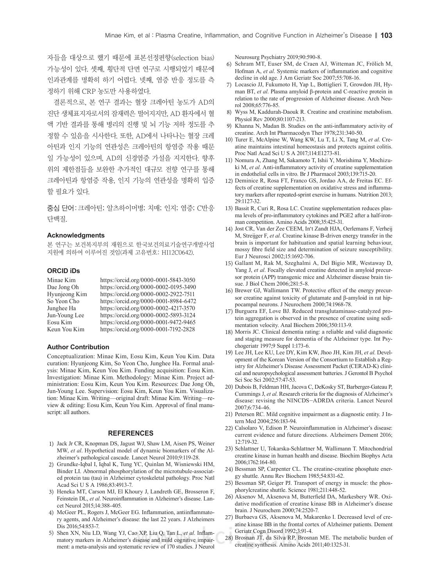자들을 대상으로 했기 때문에 표본선정편향(selection bias) 가능성이 있다. 셋째, 횡단적 단면 연구로 시행되었기 때문에 인과관계를 명확히 하기 어렵다. 넷째, 염증 반응 정도를 측 정하기 위해 CRP 농도만 사용하였다.

결론적으로, 본 연구 결과는 혈장 크레아틴 농도가 AD의 진단 생체표지자로서의 잠재력은 떨어지지만, AD 환자에서 혈 액 기반 결과를 통해 병리의 진행 및 뇌 기능 저하 정도를 추 정할 수 있음을 시사한다. 또한, AD에서 나타나는 혈장 크레 아틴과 인지 기능의 연관성은 크레아틴의 항염증 작용 때문 일 가능성이 있으며, AD의 신경염증 가설을 지지한다. 향후 위의 제한점들을 보완한 추가적인 대규모 전향 연구를 통해 크레아틴과 항염증 작용, 인지 기능의 연관성을 명확히 입증 할 필요가 있다.

중심 단어:크레아틴; 알츠하이머병; 치매; 인지; 염증; C반응 단백질.

#### **Acknowledgments**

본 연구는 보건복지부의 재원으로 한국보건의료기술연구개발사업 지원에 의하여 이루어진 것임(과제 고유번호: HI12C0642).

#### **ORCID iDs**

| Minae Kim     | https://orcid.org/0000-0001-5843-3050 |
|---------------|---------------------------------------|
| Dae Jong Oh   | https://orcid.org/0000-0002-0195-3490 |
| Hyunjeong Kim | https://orcid.org/0000-0002-2922-7511 |
| So Yeon Cho   | https://orcid.org/0000-0001-8984-6472 |
| Junghee Ha    | https://orcid.org/0000-0002-4217-3570 |
| Jun-Young Lee | https://orcid.org/0000-0002-5893-3124 |
| Eosu Kim      | https://orcid.org/0000-0001-9472-9465 |
| Keun You Kim  | https://orcid.org/0000-0001-7192-2828 |

#### **Author Contribution**

Conceptualization: Minae Kim, Eosu Kim, Keun You Kim. Data curation: Hyunjeong Kim, So Yeon Cho, Junghee Ha. Formal analysis: Minae Kim, Keun You Kim. Funding acquisition: Eosu Kim. Investigation: Minae Kim. Methodology: Minae Kim. Project administration: Eosu Kim, Keun You Kim. Resources: Dae Jong Oh, Jun-Young Lee. Supervision: Eosu Kim, Keun You Kim. Visualization: Minae Kim. Writing—original draft: Minae Kim. Writing—review & editing: Eosu Kim, Keun You Kim. Approval of final manuscript: all authors.

#### **REFERENCES**

- 1) Jack Jr CR, Knopman DS, Jagust WJ, Shaw LM, Aisen PS, Weiner MW, *et al*. Hypothetical model of dynamic biomarkers of the Alzheimer's pathological cascade. Lancet Neurol 2010;9:119-28.
- 2) Grundke-Iqbal I, Iqbal K, Tung YC, Quinlan M, Wisniewski HM, Binder LI. Abnormal phosphorylation of the microtubule-associated protein tau (tau) in Alzheimer cytoskeletal pathology. Proc Natl Acad Sci U S A 1986;83:4913-7.
- 3) Heneka MT, Carson MJ, El Khoury J, Landreth GE, Brosseron F, Feinstein DL, *et al*. Neuroinflammation in Alzheimer's disease. Lancet Neurol 2015;14:388-405.
- 4) McGeer PL, Rogers J, McGeer EG. Inflammation, antiinflammatory agents, and Alzheimer's disease: the last 22 years. J Alzheimers Dis 2016;54:853-7.
- 5) Shen XN, Niu LD, Wang YJ, Cao XP, Liu Q, Tan L, *et al*. Inflammatory markers in Alzheimer's disease and mild cognitive impairment: a meta-analysis and systematic review of 170 studies. J Neurol

Neurosurg Psychiatry 2019;90:590-8.

- 6) Schram MT, Euser SM, de Craen AJ, Witteman JC, Frölich M, Hofman A, *et al*. Systemic markers of inflammation and cognitive decline in old age. J Am Geriatr Soc 2007;55:708-16.
- 7) Locascio JJ, Fukumoto H, Yap L, Bottiglieri T, Growdon JH, Hyman BT, *et al*. Plasma amyloid β-protein and C-reactive protein in relation to the rate of progression of Alzheimer disease. Arch Neurol 2008;65:776-85.
- 8) Wyss M, Kaddurah-Daouk R. Creatine and creatinine metabolism. Physiol Rev 2000;80:1107-213.
- 9) Khanna N, Madan B. Studies on the anti-inflammatory activity of creatine. Arch Int Pharmacodyn Ther 1978;231:340-50.
- 10) Turer E, McAlpine W, Wang KW, Lu T, Li X, Tang M, *et al*. Creatine maintains intestinal homeostasis and protects against colitis. Proc Natl Acad Sci U S A 2017;114:E1273-81.
- 11) Nomura A, Zhang M, Sakamoto T, Ishii Y, Morishima Y, Mochizuki M, *et al*. Anti-inflammatory activity of creatine supplementation in endothelial cells in vitro. Br J Pharmacol 2003;139:715-20.
- 12) Deminice R, Rosa FT, Franco GS, Jordao AA, de Freitas EC. Effects of creatine supplementation on oxidative stress and inflammatory markers after repeated-sprint exercise in humans. Nutrition 2013; 29:1127-32.
- 13) Bassit R, Curi R, Rosa LC. Creatine supplementation reduces plasma levels of pro-inflammatory cytokines and PGE2 after a half-ironman competition. Amino Acids 2008;35:425-31.
- 14) Jost CR, Van der Zee CEEM, In't Zandt HJA, Oerlemans F, Verheij M, Streijger F, *et al*. Creatine kinase B-driven energy transfer in the brain is important for habituation and spatial learning behaviour, mossy fibre field size and determination of seizure susceptibility. Eur J Neurosci 2002;15:1692-706.
- 15) Gallant M, Rak M, Szeghalmi A, Del Bigio MR, Westaway D, Yang J, *et al*. Focally elevated creatine detected in amyloid precursor protein (APP) transgenic mice and Alzheimer disease brain tissue. J Biol Chem 2006;281:5-8.
- 16) Brewer GJ, Wallimann TW. Protective effect of the energy precursor creatine against toxicity of glutamate and β-amyloid in rat hippocampal neurons. J Neurochem 2000;74:1968-78.
- 17) Burguera EF, Love BJ. Reduced transglutaminase-catalyzed protein aggregation is observed in the presence of creatine using sedimentation velocity. Anal Biochem 2006;350:113-9.
- 18) Morris JC. Clinical dementia rating: a reliable and valid diagnostic and staging measure for dementia of the Alzheimer type. Int Psychogeriatr 1997;9 Suppl 1:173-6.
- 19) Lee JH, Lee KU, Lee DY, Kim KW, Jhoo JH, Kim JH, *et al*. Development of the Korean Version of the Consortium to Establish a Registry for Alzheimer's Disease Assessment Packet (CERAD-K) clinical and neuropsychological assessment batteries. J Gerontol B Psychol Sci Soc Sci 2002;57:47-53.
- 20) Dubois B, Feldman HH, Jacova C, DeKosky ST, Barberger-Gateau P, Cummings J, *et al*. Research criteria for the diagnosis of Alzheimer's disease: revising the NINCDS-ADRDA criteria. Lancet Neurol 2007;6:734-46.
- 21) Petersen RC. Mild cognitive impairment as a diagnostic entity. J Intern Med 2004;256:183-94.
- 22) Calsolaro V, Edison P. Neuroinflammation in Alzheimer's disease: current evidence and future directions. Alzheimers Dement 2016; 12:719-32.
- 23) Schlattner U, Tokarska-Schlattner M, Wallimann T. Mitochondrial creatine kinase in human health and disease. Biochim Biophys Acta 2006;1762:164-80.
- 24) Bessman SP, Carpenter CL. The creatine-creatine phosphate energy shuttle. Annu Rev Biochem 1985;54:831-62.
- 25) Bessman SP, Geiger PJ. Transport of energy in muscle: the phosphorylcreatine shuttle. Science 1981;211:448-52.
- 26) Aksenov M, Aksenova M, Butterfield DA, Markesbery WR. Oxidative modification of creatine kinase BB in Alzheimer's disease brain. J Neurochem 2000;74:2520-7.
- 27) Burbaeva GS, Aksenova M, Makarenko I. Decreased level of creatine kinase BB in the frontal cortex of Alzheimer patients. Dement Geriatr Cogn Disord 1992;3:91-4.
- 28) Brosnan JT, da Silva RP, Brosnan ME. The metabolic burden of creatine synthesis. Amino Acids 2011;40:1325-31.